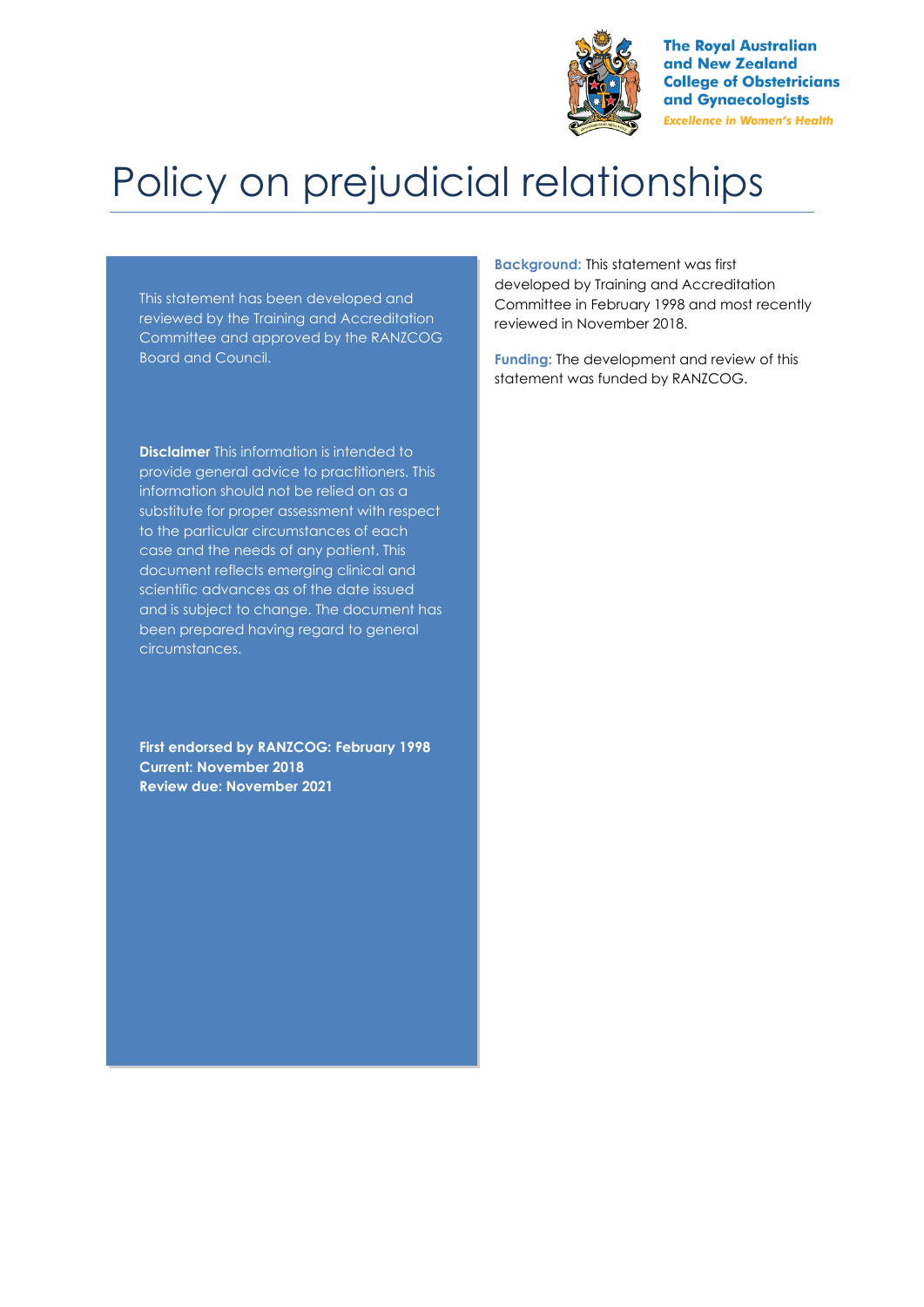

**The Royal Australian** and New Zealand **College of Obstetricians** and Gynaecologists **Excellence in Women's Health** 

# Policy on prejudicial relationships

This statement has been developed and reviewed by the Training and Accreditation Committee and approved by the RANZCOG Board and Council.

**Disclaimer** This information is intended to provide general advice to practitioners. This information should not be relied on as a substitute for proper assessment with respect to the particular circumstances of each case and the needs of any patient. This document reflects emerging clinical and scientific advances as of the date issued and is subject to change. The document has been prepared having regard to general circumstances.

**First endorsed by RANZCOG: February 1998 Current: November 2018 Review due: November 2021**

**Background:** This statement was first developed by Training and Accreditation Committee in February 1998 and most recently reviewed in November 2018.

**Funding:** The development and review of this statement was funded by RANZCOG.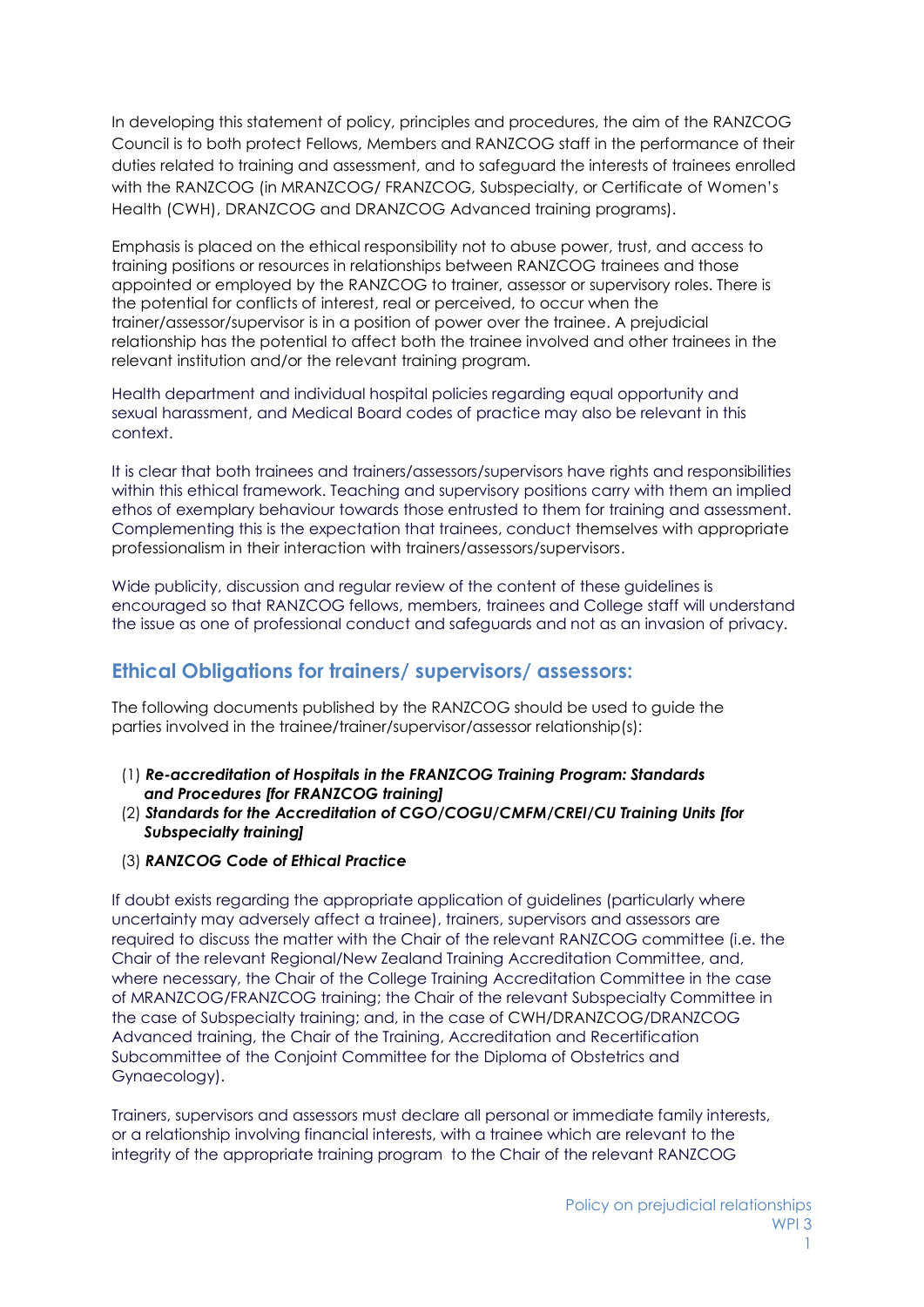In developing this statement of policy, principles and procedures, the aim of the RANZCOG Council is to both protect Fellows, Members and RANZCOG staff in the performance of their duties related to training and assessment, and to safeguard the interests of trainees enrolled with the RANZCOG (in MRANZCOG/ FRANZCOG, Subspecialty, or Certificate of Women's Health (CWH), DRANZCOG and DRANZCOG Advanced training programs).

Emphasis is placed on the ethical responsibility not to abuse power, trust, and access to training positions or resources in relationships between RANZCOG trainees and those appointed or employed by the RANZCOG to trainer, assessor or supervisory roles. There is the potential for conflicts of interest, real or perceived, to occur when the trainer/assessor/supervisor is in a position of power over the trainee. A prejudicial relationship has the potential to affect both the trainee involved and other trainees in the relevant institution and/or the relevant training program.

Health department and individual hospital policies regarding equal opportunity and sexual harassment, and Medical Board codes of practice may also be relevant in this context.

It is clear that both trainees and trainers/assessors/supervisors have rights and responsibilities within this ethical framework. Teaching and supervisory positions carry with them an implied ethos of exemplary behaviour towards those entrusted to them for training and assessment. Complementing this is the expectation that trainees, conduct themselves with appropriate professionalism in their interaction with trainers/assessors/supervisors.

Wide publicity, discussion and regular review of the content of these guidelines is encouraged so that RANZCOG fellows, members, trainees and College staff will understand the issue as one of professional conduct and safeguards and not as an invasion of privacy.

## **Ethical Obligations for trainers/ supervisors/ assessors:**

The following documents published by the RANZCOG should be used to guide the parties involved in the trainee/trainer/supervisor/assessor relationship(s):

- (1) *Re-accreditation of Hospitals in the FRANZCOG Training Program: Standards and Procedures [for FRANZCOG training]*
- (2) *Standards for the Accreditation of CGO/COGU/CMFM/CREI/CU Training Units [for Subspecialty training]*
- (3) *RANZCOG Code of Ethical Practice*

If doubt exists regarding the appropriate application of guidelines (particularly where uncertainty may adversely affect a trainee), trainers, supervisors and assessors are required to discuss the matter with the Chair of the relevant RANZCOG committee (i.e. the Chair of the relevant Regional/New Zealand Training Accreditation Committee, and, where necessary, the Chair of the College Training Accreditation Committee in the case of MRANZCOG/FRANZCOG training; the Chair of the relevant Subspecialty Committee in the case of Subspecialty training; and, in the case of CWH/DRANZCOG/DRANZCOG Advanced training, the Chair of the Training, Accreditation and Recertification Subcommittee of the Conjoint Committee for the Diploma of Obstetrics and Gynaecology).

Trainers, supervisors and assessors must declare all personal or immediate family interests, or a relationship involving financial interests, with a trainee which are relevant to the integrity of the appropriate training program to the Chair of the relevant RANZCOG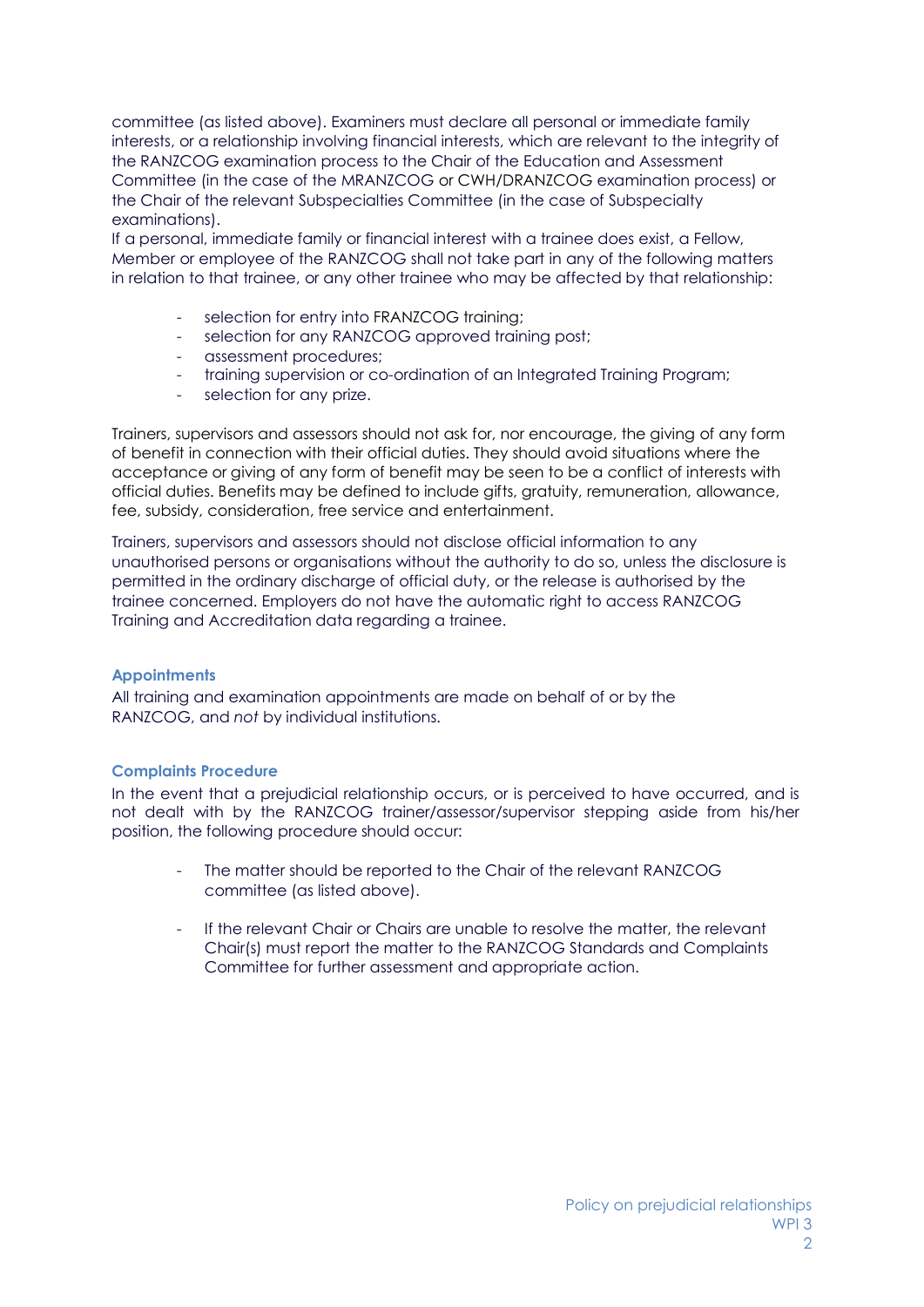committee (as listed above). Examiners must declare all personal or immediate family interests, or a relationship involving financial interests, which are relevant to the integrity of the RANZCOG examination process to the Chair of the Education and Assessment Committee (in the case of the MRANZCOG or CWH/DRANZCOG examination process) or the Chair of the relevant Subspecialties Committee (in the case of Subspecialty examinations).

If a personal, immediate family or financial interest with a trainee does exist, a Fellow, Member or employee of the RANZCOG shall not take part in any of the following matters in relation to that trainee, or any other trainee who may be affected by that relationship:

- selection for entry into FRANZCOG training;
- selection for any RANZCOG approved training post;
- assessment procedures;
- training supervision or co-ordination of an Integrated Training Program;
- selection for any prize.

Trainers, supervisors and assessors should not ask for, nor encourage, the giving of any form of benefit in connection with their official duties. They should avoid situations where the acceptance or giving of any form of benefit may be seen to be a conflict of interests with official duties. Benefits may be defined to include gifts, gratuity, remuneration, allowance, fee, subsidy, consideration, free service and entertainment.

Trainers, supervisors and assessors should not disclose official information to any unauthorised persons or organisations without the authority to do so, unless the disclosure is permitted in the ordinary discharge of official duty, or the release is authorised by the trainee concerned. Employers do not have the automatic right to access RANZCOG Training and Accreditation data regarding a trainee.

#### **Appointments**

All training and examination appointments are made on behalf of or by the RANZCOG, and *not* by individual institutions.

#### **Complaints Procedure**

In the event that a prejudicial relationship occurs, or is perceived to have occurred, and is not dealt with by the RANZCOG trainer/assessor/supervisor stepping aside from his/her position, the following procedure should occur:

- The matter should be reported to the Chair of the relevant RANZCOG committee (as listed above).
- If the relevant Chair or Chairs are unable to resolve the matter, the relevant Chair(s) must report the matter to the RANZCOG Standards and Complaints Committee for further assessment and appropriate action.